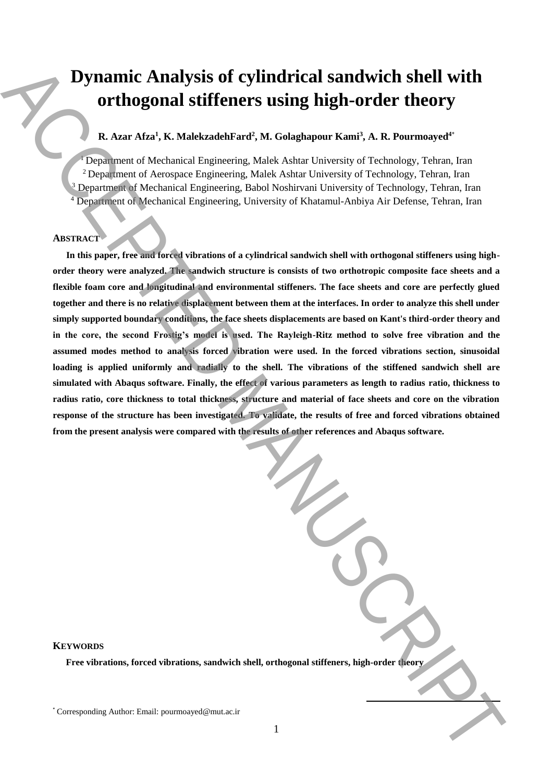# **Dynamic Analysis of cylindrical sandwich shell with orthogonal stiffeners using high-order theory**

# **R. Azar Afza<sup>1</sup> , K. MalekzadehFard<sup>2</sup> , M. Golaghapour Kami<sup>3</sup> , A. R. Pourmoayed<sup>4</sup>**\*

<sup>1</sup> Department of Mechanical Engineering, Malek Ashtar University of Technology, Tehran, Iran <sup>2</sup> Department of Aerospace Engineering, Malek Ashtar University of Technology, Tehran, Iran <sup>3</sup> Department of Mechanical Engineering, Babol Noshirvani University of Technology, Tehran, Iran <sup>4</sup> Department of Mechanical Engineering, University of Khatamul-Anbiya Air Defense, Tehran, Iran

## **ABSTRACT**

**In this paper, free and forced vibrations of a cylindrical sandwich shell with orthogonal stiffeners using highorder theory were analyzed. The sandwich structure is consists of two orthotropic composite face sheets and a flexible foam core and longitudinal and environmental stiffeners. The face sheets and core are perfectly glued together and there is no relative displacement between them at the interfaces. In order to analyze this shell under simply supported boundary conditions, the face sheets displacements are based on Kant's third-order theory and in the core, the second Frostig's model is used. The Rayleigh-Ritz method to solve free vibration and the assumed modes method to analysis forced vibration were used. In the forced vibrations section, sinusoidal loading is applied uniformly and radially to the shell. The vibrations of the stiffened sandwich shell are simulated with Abaqus software. Finally, the effect of various parameters as length to radius ratio, thickness to radius ratio, core thickness to total thickness, structure and material of face sheets and core on the vibration response of the structure has been investigated. To validate, the results of free and forced vibrations obtained from the present analysis were compared with the results of other references and Abaqus software. Dynamic Analysis of cylindrical sandwich shell with**<br>orthogonal stiffeneces using high-order theory and  $\lambda$ .<br>  $\lambda$  and  $\lambda$  and  $\lambda$  and  $\lambda$  and  $\lambda$  and  $\lambda$  and  $\lambda$  and  $\lambda$  and  $\lambda$  and  $\lambda$  and  $\lambda$  and  $\lambda$  and

#### **KEYWORDS**

**Free vibrations, forced vibrations, sandwich shell, orthogonal stiffeners, high-order theory**

**.**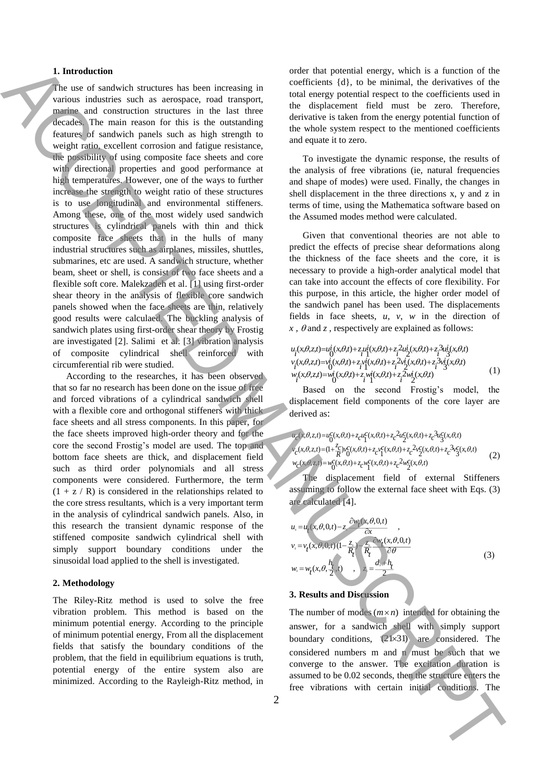### **1. Introduction**

The use of sandwich structures has been increasing in various industries such as aerospace, road transport, marine and construction structures in the last three decades. The main reason for this is the outstanding features of sandwich panels such as high strength to weight ratio, excellent corrosion and fatigue resistance, the possibility of using composite face sheets and core with directional properties and good performance at high temperatures. However, one of the ways to further increase the strength to weight ratio of these structures is to use longitudinal and environmental stiffeners. Among these, one of the most widely used sandwich structures is cylindrical panels with thin and thick composite face sheets that in the hulls of many industrial structures such as airplanes, missiles, shuttles, submarines, etc are used. A sandwich structure, whether beam, sheet or shell, is consist of two face sheets and a flexible soft core. Malekzadeh et al. [1] using first-order shear theory in the analysis of flexible core sandwich panels showed when the face sheets are thin, relatively good results were calculaed. The buckling analysis of sandwich plates using first-order shear theory by Frostig are investigated [2]. Salimi et al. [3] vibration analysis of composite cylindrical shell reinforced with circumferential rib were studied. Free vibrations with a boundary of the point of the point of the conditions of the conditions with the conditions with the conditions with the conditions with the conditions with the conditions with the conditions with th

According to the researches, it has been observed that so far no research has been done on the issue of free and forced vibrations of a cylindrical sandwich shell with a flexible core and orthogonal stiffeners with thick face sheets and all stress components. In this paper, for the face sheets improved high-order theory and for the core the second Frostig's model are used. The top and bottom face sheets are thick, and displacement field such as third order polynomials and all stress components were considered. Furthermore, the term  $(1 + z / R)$  is considered in the relationships related to the core stress resultants, which is a very important term in the analysis of cylindrical sandwich panels. Also, in this research the transient dynamic response of the stiffened composite sandwich cylindrical shell with simply support boundary conditions under the sinusoidal load applied to the shell is investigated.

### **2. Methodology**

The Riley-Ritz method is used to solve the free vibration problem. This method is based on the minimum potential energy. According to the principle of minimum potential energy, From all the displacement fields that satisfy the boundary conditions of the problem, that the field in equilibrium equations is truth, potential energy of the entire system also are minimized. According to the Rayleigh-Ritz method, in

order that potential energy, which is a function of the coefficients {d}, to be minimal, the derivatives of the total energy potential respect to the coefficients used in the displacement field must be zero. Therefore, derivative is taken from the energy potential function of the whole system respect to the mentioned coefficients and equate it to zero.

To investigate the dynamic response, the results of the analysis of free vibrations (ie, natural frequencies and shape of modes) were used. Finally, the changes in shell displacement in the three directions x, y and z in terms of time, using the Mathematica software based on the Assumed modes method were calculated.

Given that conventional theories are not able to predict the effects of precise shear deformations along the thickness of the face sheets and the core, it is necessary to provide a high-order analytical model that can take into account the effects of core flexibility. For this purpose, in this article, the higher order model of the sandwich panel has been used. The displacements fields in face sheets, *u*, *v*, *w* in the direction of  $x, \theta$  and *z*, respectively are explained as follows:

$$
u_{i}(x,\theta,z,t) = u_{0}^{i}(x,\theta,t) + z_{i}^{i}u_{1}^{i}(x,\theta,t) + z_{i}^{2}u_{2}^{i}(x,\theta,t) + z_{i}^{3}u_{3}^{i}(x,\theta,t) \n v_{i}^{i}(x,\theta,z,t) = v_{0}^{i}(x,\theta,t) + z_{i}^{i}v_{1}^{i}(x,\theta,t) + z_{i}^{2}v_{2}^{i}(x,\theta,t) + z_{i}^{3}v_{3}^{i}(x,\theta,t) \n w_{i}^{i}(x,\theta,z,t) = w_{0}^{i}(x,\theta,t) + z_{i}^{i}w_{1}^{i}(x,\theta,t) + z_{i}^{2}w_{2}^{i}(x,\theta,t)
$$
\n(1)

Based on the second Frostig's model, the displacement field components of the core layer are derived as:

$$
u_c(x, \theta, z, t) = u_0^c(x, \theta, t) + z_c u_1^c(x, \theta, t) + z_c^2 u_2^c(x, \theta, t) + z_c^3 u_3^c(x, \theta, t)
$$
  
\n
$$
v_c(x, \theta, z, t) = (1 + \frac{z_c}{R})v_0^c(x, \theta, t) + z_c v_1^c(x, \theta, t) + z_c^2 v_2^c(x, \theta, t) + z_c^3 v_3^c(x, \theta, t)
$$
  
\n
$$
w_c(x, \theta, z, t) = w_0^c(x, \theta, t) + z_c w_1^c(x, \theta, t) + z_c^2 w_2^c(x, \theta, t)
$$
\n(2)

The displacement field of external Stiffeners assuming to follow the external face sheet with Eqs. (3) are calculated [4].

$$
u_s = u_t(x, \theta, 0, t) - z \frac{\partial w_t(x, \theta, 0, t)}{\partial x},
$$
  
\n
$$
v_s = v_t(x, \theta, 0, t) (1 - \frac{z_s}{R_t}) - \frac{z_s}{R_t} \frac{\partial w_t(x, \theta, 0, t)}{\partial \theta}
$$
  
\n
$$
w_s = w_t(x, \theta, \frac{h_t}{2}, t) , z_s = \frac{d_s + h_t}{2}
$$
\n(3)

# **3. Results and Discussion**

The number of modes  $(m \times n)$  intended for obtaining the answer, for a sandwich shell with simply support boundary conditions,  $(21\times31)$  are considered. The considered numbers m and n must be such that we converge to the answer. The excitation duration is assumed to be 0.02 seconds, then the structure enters the